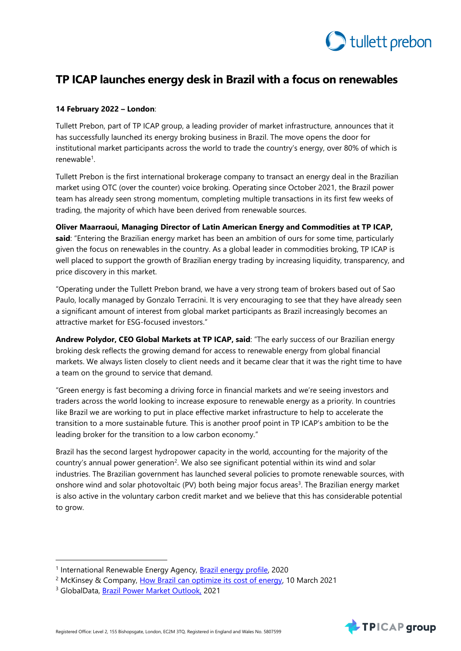

# **TP ICAP launches energy desk in Brazil with a focus on renewables**

## **14 February 2022 – London**:

Tullett Prebon, part of TP ICAP group, a leading provider of market infrastructure, announces that it has successfully launched its energy broking business in Brazil. The move opens the door for institutional market participants across the world to trade the country's energy, over 80% of which is renewable<sup>1</sup>.

Tullett Prebon is the first international brokerage company to transact an energy deal in the Brazilian market using OTC (over the counter) voice broking. Operating since October 2021, the Brazil power team has already seen strong momentum, completing multiple transactions in its first few weeks of trading, the majority of which have been derived from renewable sources.

**Oliver Maarraoui, Managing Director of Latin American Energy and Commodities at TP ICAP, said**: "Entering the Brazilian energy market has been an ambition of ours for some time, particularly given the focus on renewables in the country. As a global leader in commodities broking, TP ICAP is well placed to support the growth of Brazilian energy trading by increasing liquidity, transparency, and price discovery in this market.

"Operating under the Tullett Prebon brand, we have a very strong team of brokers based out of Sao Paulo, locally managed by Gonzalo Terracini. It is very encouraging to see that they have already seen a significant amount of interest from global market participants as Brazil increasingly becomes an attractive market for ESG-focused investors."

**Andrew Polydor, CEO Global Markets at TP ICAP, said**: "The early success of our Brazilian energy broking desk reflects the growing demand for access to renewable energy from global financial markets. We always listen closely to client needs and it became clear that it was the right time to have a team on the ground to service that demand.

"Green energy is fast becoming a driving force in financial markets and we're seeing investors and traders across the world looking to increase exposure to renewable energy as a priority. In countries like Brazil we are working to put in place effective market infrastructure to help to accelerate the transition to a more sustainable future. This is another proof point in TP ICAP's ambition to be the leading broker for the transition to a low carbon economy."

Brazil has the second largest hydropower capacity in the world, accounting for the majority of the country's annual power generation<sup>2</sup>. We also see significant potential within its wind and solar industries. The Brazilian government has launched several policies to promote renewable sources, with onshore wind and solar photovoltaic (PV) both being major focus areas<sup>3</sup>. The Brazilian energy market is also active in the voluntary carbon credit market and we believe that this has considerable potential to grow.

 $\overline{a}$ 



<sup>&</sup>lt;sup>1</sup> International Renewable Energy Agency, [Brazil energy profile,](https://www.irena.org/IRENADocuments/Statistical_Profiles/South%20America/Brazil_South%20America_RE_SP.pdf) 2020

<sup>&</sup>lt;sup>2</sup> McKinsey & Company, [How Brazil can optimize its cost of energy,](https://www.mckinsey.com/industries/electric-power-and-natural-gas/our-insights/how-brazil-can-optimize-its-cost-of-energy) 10 March 2021

<sup>3</sup> GlobalData, [Brazil Power Market Outlook,](https://www.power-technology.com/comment/hydropower-dominate-brazil-2030/) 2021